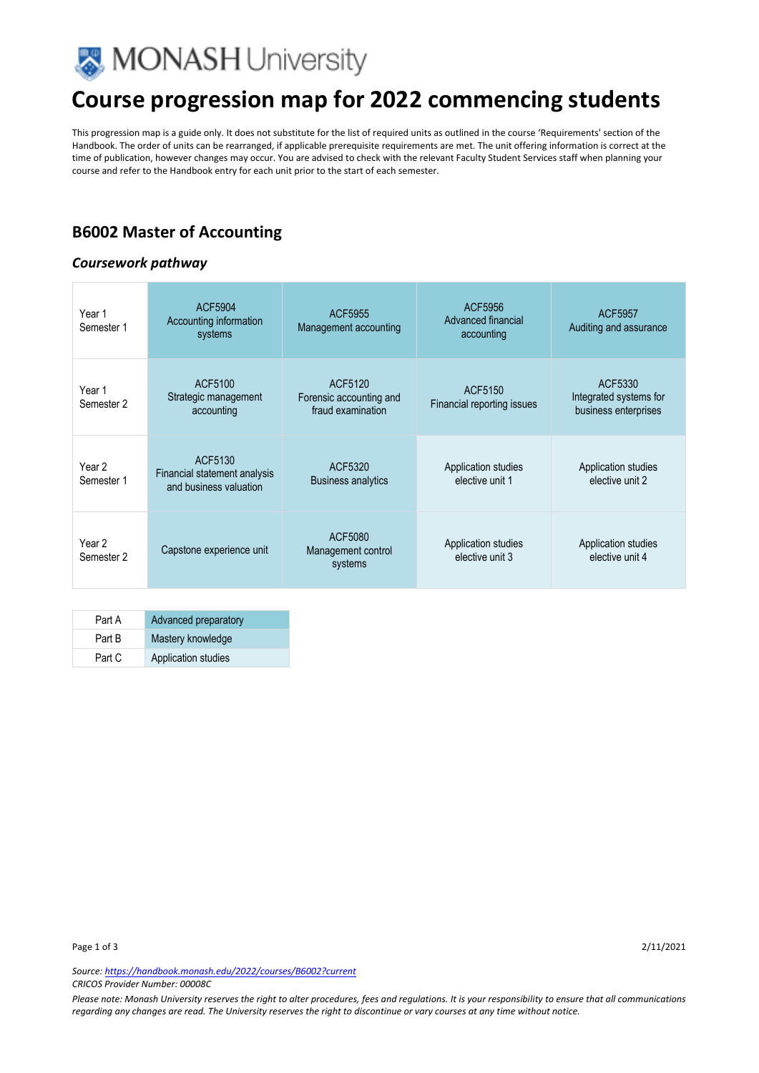

# **Course progression map for 2022 commencing students**

This progression map is a guide only. It does not substitute for the list of required units as outlined in the course 'Requirements' section of the Handbook. The order of units can be rearranged, if applicable prerequisite requirements are met. The unit offering information is correct at the time of publication, however changes may occur. You are advised to check with the relevant Faculty Student Services staff when planning your course and refer to the Handbook entry for each unit prior to the start of each semester.

### **B6002 Master of Accounting**

#### *Coursework pathway*

| Year 1<br>Semester 1 | ACF5904<br>Accounting information<br>systems                      | ACF5955<br>Management accounting                        | ACF5956<br>Advanced financial<br>accounting | ACF5957<br>Auditing and assurance                         |
|----------------------|-------------------------------------------------------------------|---------------------------------------------------------|---------------------------------------------|-----------------------------------------------------------|
| Year 1<br>Semester 2 | ACF5100<br>Strategic management<br>accounting                     | ACF5120<br>Forensic accounting and<br>fraud examination | ACF5150<br>Financial reporting issues       | ACF5330<br>Integrated systems for<br>business enterprises |
| Year 2<br>Semester 1 | ACF5130<br>Financial statement analysis<br>and business valuation | ACF5320<br><b>Business analytics</b>                    | Application studies<br>elective unit 1      | Application studies<br>elective unit 2                    |
| Year 2<br>Semester 2 | Capstone experience unit                                          | ACF5080<br>Management control<br>systems                | Application studies<br>elective unit 3      | Application studies<br>elective unit 4                    |

| Part A | Advanced preparatory |
|--------|----------------------|
| Part B | Mastery knowledge    |
| Part C | Application studies  |

*Source: https://handbook.monash.edu/2022/courses/B6002?current CRICOS Provider Number: 00008C* 

*Please note: Monash University reserves the right to alter procedures, fees and regulations. It is your responsibility to ensure that all communications regarding any changes are read. The University reserves the right to discontinue or vary courses at any time without notice.*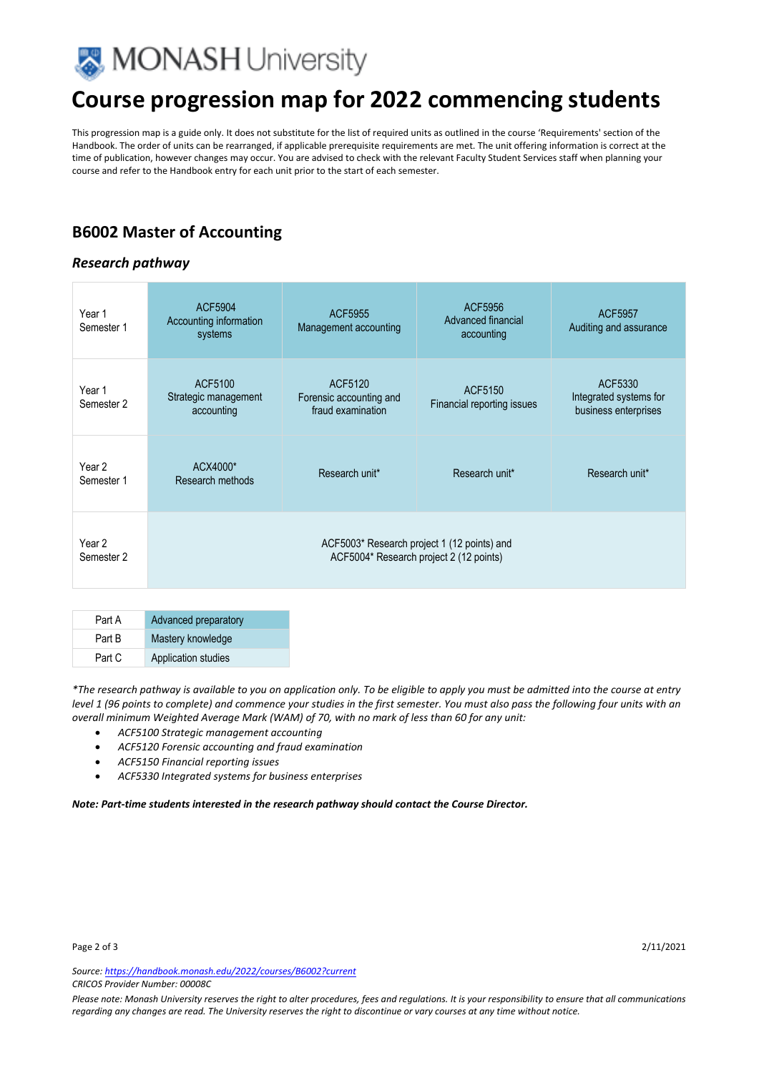

## **Course progression map for 2022 commencing students**

This progression map is a guide only. It does not substitute for the list of required units as outlined in the course 'Requirements' section of the Handbook. The order of units can be rearranged, if applicable prerequisite requirements are met. The unit offering information is correct at the time of publication, however changes may occur. You are advised to check with the relevant Faculty Student Services staff when planning your course and refer to the Handbook entry for each unit prior to the start of each semester.

## **B6002 Master of Accounting**

#### *Research pathway*

| Year 1<br>Semester 1 | <b>ACF5904</b><br>Accounting information<br>systems                                    | ACF5955<br>Management accounting                        | ACF5956<br>Advanced financial<br>accounting | ACF5957<br>Auditing and assurance                         |
|----------------------|----------------------------------------------------------------------------------------|---------------------------------------------------------|---------------------------------------------|-----------------------------------------------------------|
| Year 1<br>Semester 2 | ACF5100<br>Strategic management<br>accounting                                          | ACF5120<br>Forensic accounting and<br>fraud examination | ACF5150<br>Financial reporting issues       | ACF5330<br>Integrated systems for<br>business enterprises |
| Year 2<br>Semester 1 | ACX4000*<br>Research methods                                                           | Research unit*                                          | Research unit*                              | Research unit*                                            |
| Year 2<br>Semester 2 | ACF5003* Research project 1 (12 points) and<br>ACF5004* Research project 2 (12 points) |                                                         |                                             |                                                           |

| Part A | Advanced preparatory       |
|--------|----------------------------|
| Part B | Mastery knowledge          |
| Part C | <b>Application studies</b> |

*\*The research pathway is available to you on application only. To be eligible to apply you must be admitted into the course at entry level 1 (96 points to complete) and commence your studies in the first semester. You must also pass the following four units with an overall minimum Weighted Average Mark (WAM) of 70, with no mark of less than 60 for any unit:* 

- *ACF5100 Strategic management accounting*
- *ACF5120 Forensic accounting and fraud examination*
- *ACF5150 Financial reporting issues*
- *ACF5330 Integrated systems for business enterprises*

*Note: Part-time students interested in the research pathway should contact the Course Director.* 

*Source: https://handbook.monash.edu/2022/courses/B6002?current CRICOS Provider Number: 00008C* 

*Please note: Monash University reserves the right to alter procedures, fees and regulations. It is your responsibility to ensure that all communications regarding any changes are read. The University reserves the right to discontinue or vary courses at any time without notice.*